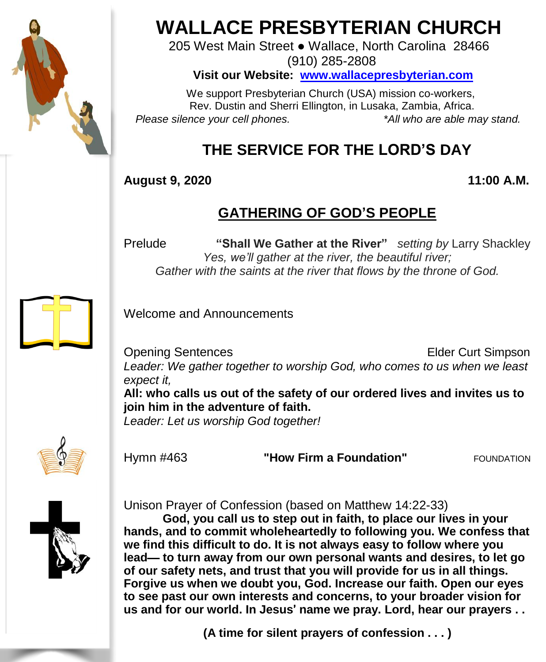

# **WALLACE PRESBYTERIAN CHURCH**

205 West Main Street ● Wallace, North Carolina 28466 (910) 285-2808

**Visit our Website: [www.wallacepresbyterian.com](http://www.wallacepresbyterian.com/)**

 We support Presbyterian Church (USA) mission co-workers, Rev. Dustin and Sherri Ellington, in Lusaka, Zambia, Africa. *Please silence your cell phones. \*All who are able may stand.*

# **THE SERVICE FOR THE LORD'S DAY**

**August 9, 2020 11:00 A.M.**

# **GATHERING OF GOD'S PEOPLE**

Prelude **"Shall We Gather at the River"** *setting by* Larry Shackley *Yes, we'll gather at the river, the beautiful river; Gather with the saints at the river that flows by the throne of God.*

Welcome and Announcements

**Opening Sentences Elder Curt Simpson** *Leader: We gather together to worship God, who comes to us when we least expect it,* **All: who calls us out of the safety of our ordered lives and invites us to join him in the adventure of faith.**

*Leader: Let us worship God together!*



Hymn #463 **"How Firm a Foundation"** FOUNDATION



Unison Prayer of Confession (based on Matthew 14:22-33)

**God, you call us to step out in faith, to place our lives in your hands, and to commit wholeheartedly to following you. We confess that we find this difficult to do. It is not always easy to follow where you lead**— **to turn away from our own personal wants and desires, to let go of our safety nets, and trust that you will provide for us in all things. Forgive us when we doubt you, God. Increase our faith. Open our eyes to see past our own interests and concerns, to your broader vision for us and for our world. In Jesus**' **name we pray. Lord, hear our prayers . .**

**(A time for silent prayers of confession . . . )**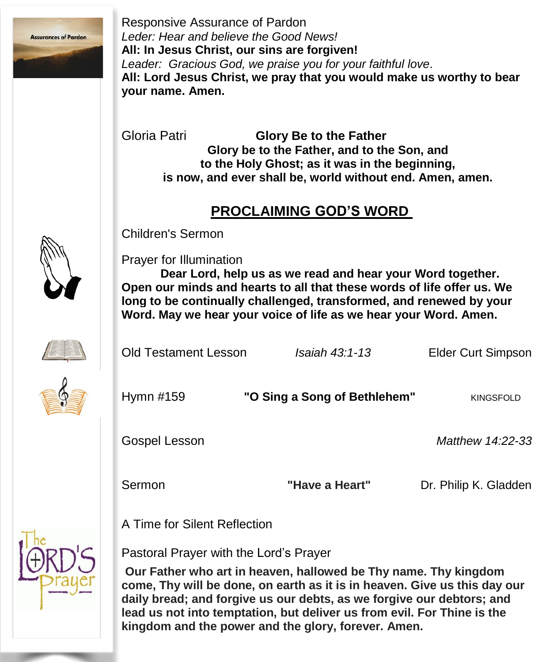

Responsive Assurance of Pardon *Leder: Hear and believe the Good News!* **All: In Jesus Christ, our sins are forgiven!** *Leader: Gracious God, we praise you for your faithful love*. **All: Lord Jesus Christ, we pray that you would make us worthy to bear your name. Amen.**

Gloria Patri **Glory Be to the Father Glory be to the Father, and to the Son, and to the Holy Ghost; as it was in the beginning, is now, and ever shall be, world without end. Amen, amen.**

#### **PROCLAIMING GOD'S WORD**



Children's Sermon

Prayer for Illumination

**Dear Lord, help us as we read and hear your Word together. Open our minds and hearts to all that these words of life offer us. We long to be continually challenged, transformed, and renewed by your Word. May we hear your voice of life as we hear your Word. Amen.**

| Old Testament Lesson | <i>Isaiah 43:1-13</i>        | <b>Elder Curt Simpson</b> |
|----------------------|------------------------------|---------------------------|
| Hymn #159            | "O Sing a Song of Bethlehem" | <b>KINGSFOLD</b>          |
| Gospel Lesson        |                              | Matthew 14:22-33          |
| Sermon               | "Have a Heart"               | Dr. Philip K. Gladden     |

A Time for Silent Reflection



Pastoral Prayer with the Lord's Prayer

**Our Father who art in heaven, hallowed be Thy name. Thy kingdom come, Thy will be done, on earth as it is in heaven. Give us this day our daily bread; and forgive us our debts, as we forgive our debtors; and lead us not into temptation, but deliver us from evil. For Thine is the kingdom and the power and the glory, forever. Amen.**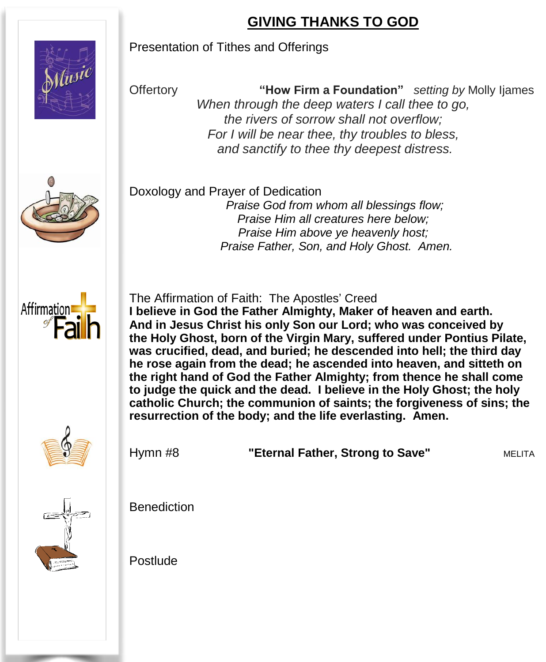### **GIVING THANKS TO GOD**

Offertory **"How Firm a Foundation"** *setting by* Molly Ijames *When through the deep waters I call thee to go, the rivers of sorrow shall not overflow; For I will be near thee, thy troubles to bless, and sanctify to thee thy deepest distress.*



 Doxology and Prayer of Dedication *Praise God from whom all blessings flow; Praise Him all creatures here below; Praise Him above ye heavenly host; Praise Father, Son, and Holy Ghost. Amen.*

Presentation of Tithes and Offerings



The Affirmation of Faith: The Apostles' Creed **I believe in God the Father Almighty, Maker of heaven and earth. And in Jesus Christ his only Son our Lord; who was conceived by the Holy Ghost, born of the Virgin Mary, suffered under Pontius Pilate, was crucified, dead, and buried; he descended into hell; the third day he rose again from the dead; he ascended into heaven, and sitteth on the right hand of God the Father Almighty; from thence he shall come to judge the quick and the dead. I believe in the Holy Ghost; the holy catholic Church; the communion of saints; the forgiveness of sins; the resurrection of the body; and the life everlasting. Amen.**



Hymn #8 **"Eternal Father, Strong to Save"** MELITA



Benediction

Postlude